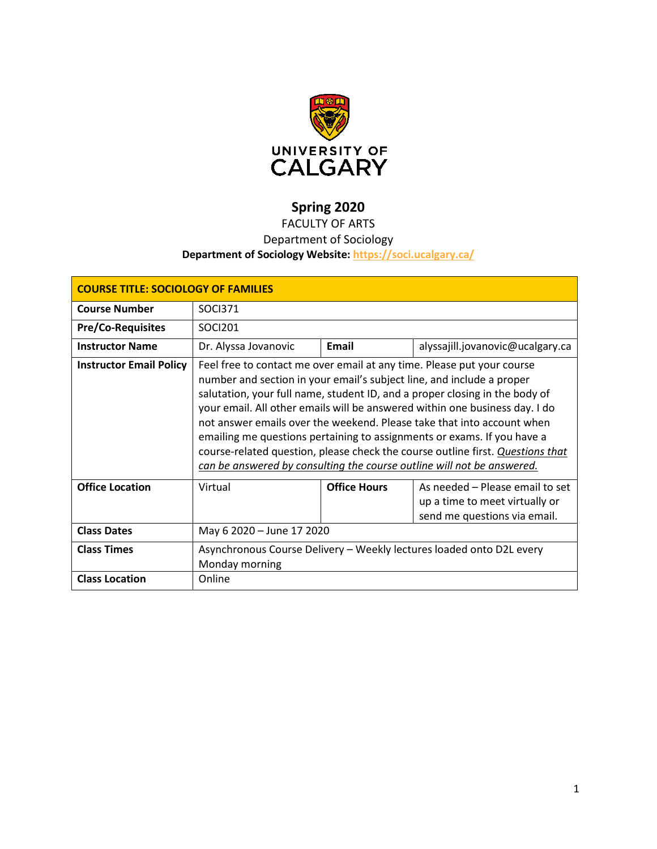

# **Spring 2020**

## FACULTY OF ARTS

## Department of Sociology

## **Department of Sociology Website:<https://soci.ucalgary.ca/>**

| <b>COURSE TITLE: SOCIOLOGY OF FAMILIES</b> |                                                                                                                                                                                                                                                                                                                                                                                                                                                                                                                                                                                                                                |                     |                                                                                                   |  |  |
|--------------------------------------------|--------------------------------------------------------------------------------------------------------------------------------------------------------------------------------------------------------------------------------------------------------------------------------------------------------------------------------------------------------------------------------------------------------------------------------------------------------------------------------------------------------------------------------------------------------------------------------------------------------------------------------|---------------------|---------------------------------------------------------------------------------------------------|--|--|
| <b>Course Number</b>                       | SOCI371                                                                                                                                                                                                                                                                                                                                                                                                                                                                                                                                                                                                                        |                     |                                                                                                   |  |  |
| <b>Pre/Co-Requisites</b>                   | SOCI201                                                                                                                                                                                                                                                                                                                                                                                                                                                                                                                                                                                                                        |                     |                                                                                                   |  |  |
| <b>Instructor Name</b>                     | Dr. Alyssa Jovanovic                                                                                                                                                                                                                                                                                                                                                                                                                                                                                                                                                                                                           | Email               | alyssajill.jovanovic@ucalgary.ca                                                                  |  |  |
| <b>Instructor Email Policy</b>             | Feel free to contact me over email at any time. Please put your course<br>number and section in your email's subject line, and include a proper<br>salutation, your full name, student ID, and a proper closing in the body of<br>your email. All other emails will be answered within one business day. I do<br>not answer emails over the weekend. Please take that into account when<br>emailing me questions pertaining to assignments or exams. If you have a<br>course-related question, please check the course outline first. Questions that<br>can be answered by consulting the course outline will not be answered. |                     |                                                                                                   |  |  |
| <b>Office Location</b>                     | Virtual                                                                                                                                                                                                                                                                                                                                                                                                                                                                                                                                                                                                                        | <b>Office Hours</b> | As needed - Please email to set<br>up a time to meet virtually or<br>send me questions via email. |  |  |
| <b>Class Dates</b>                         | May 6 2020 - June 17 2020                                                                                                                                                                                                                                                                                                                                                                                                                                                                                                                                                                                                      |                     |                                                                                                   |  |  |
| <b>Class Times</b>                         | Asynchronous Course Delivery - Weekly lectures loaded onto D2L every<br>Monday morning                                                                                                                                                                                                                                                                                                                                                                                                                                                                                                                                         |                     |                                                                                                   |  |  |
| <b>Class Location</b>                      | Online                                                                                                                                                                                                                                                                                                                                                                                                                                                                                                                                                                                                                         |                     |                                                                                                   |  |  |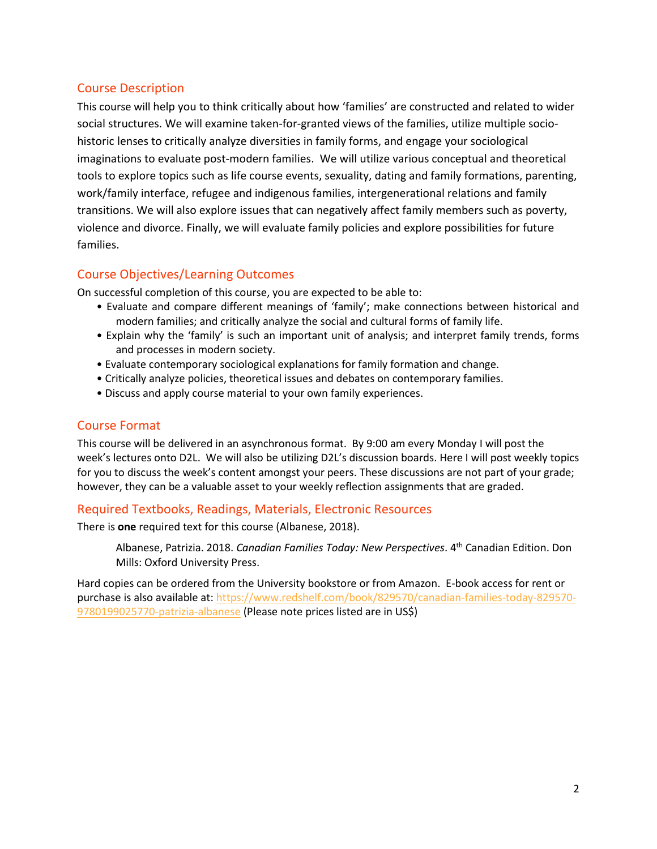## Course Description

This course will help you to think critically about how 'families' are constructed and related to wider social structures. We will examine taken-for-granted views of the families, utilize multiple sociohistoric lenses to critically analyze diversities in family forms, and engage your sociological imaginations to evaluate post-modern families. We will utilize various conceptual and theoretical tools to explore topics such as life course events, sexuality, dating and family formations, parenting, work/family interface, refugee and indigenous families, intergenerational relations and family transitions. We will also explore issues that can negatively affect family members such as poverty, violence and divorce. Finally, we will evaluate family policies and explore possibilities for future families.

## Course Objectives/Learning Outcomes

On successful completion of this course, you are expected to be able to:

- Evaluate and compare different meanings of 'family'; make connections between historical and modern families; and critically analyze the social and cultural forms of family life.
- Explain why the 'family' is such an important unit of analysis; and interpret family trends, forms and processes in modern society.
- Evaluate contemporary sociological explanations for family formation and change.
- Critically analyze policies, theoretical issues and debates on contemporary families.
- Discuss and apply course material to your own family experiences.

## Course Format

This course will be delivered in an asynchronous format. By 9:00 am every Monday I will post the week's lectures onto D2L. We will also be utilizing D2L's discussion boards. Here I will post weekly topics for you to discuss the week's content amongst your peers. These discussions are not part of your grade; however, they can be a valuable asset to your weekly reflection assignments that are graded.

## Required Textbooks, Readings, Materials, Electronic Resources

There is **one** required text for this course (Albanese, 2018).

Albanese, Patrizia. 2018. *Canadian Families Today: New Perspectives*. 4th Canadian Edition. Don Mills: Oxford University Press.

Hard copies can be ordered from the University bookstore or from Amazon. E-book access for rent or purchase is also available at[: https://www.redshelf.com/book/829570/canadian-families-today-829570-](https://www.redshelf.com/book/829570/canadian-families-today-829570-9780199025770-patrizia-albanese) [9780199025770-patrizia-albanese](https://www.redshelf.com/book/829570/canadian-families-today-829570-9780199025770-patrizia-albanese) (Please note prices listed are in US\$)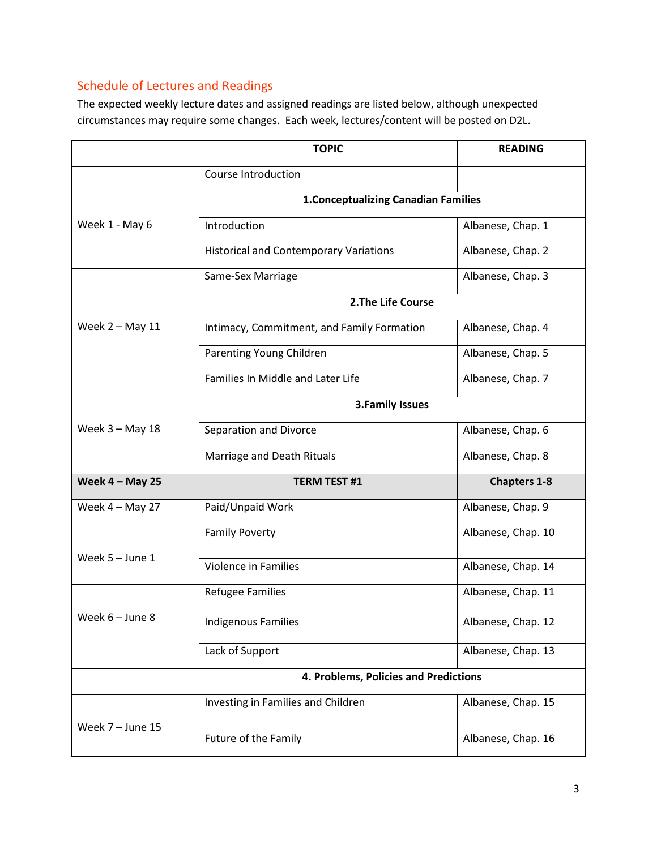## Schedule of Lectures and Readings

The expected weekly lecture dates and assigned readings are listed below, although unexpected circumstances may require some changes. Each week, lectures/content will be posted on D2L.

|                   | <b>TOPIC</b>                                  | <b>READING</b>      |  |  |
|-------------------|-----------------------------------------------|---------------------|--|--|
|                   | Course Introduction                           |                     |  |  |
|                   | <b>1. Conceptualizing Canadian Families</b>   |                     |  |  |
| Week 1 - May 6    | Introduction                                  | Albanese, Chap. 1   |  |  |
|                   | <b>Historical and Contemporary Variations</b> | Albanese, Chap. 2   |  |  |
|                   | Same-Sex Marriage                             | Albanese, Chap. 3   |  |  |
|                   | 2. The Life Course                            |                     |  |  |
| Week $2 -$ May 11 | Intimacy, Commitment, and Family Formation    | Albanese, Chap. 4   |  |  |
|                   | Parenting Young Children                      | Albanese, Chap. 5   |  |  |
|                   | Families In Middle and Later Life             | Albanese, Chap. 7   |  |  |
|                   | <b>3.Family Issues</b>                        |                     |  |  |
| Week 3 - May 18   | Separation and Divorce                        | Albanese, Chap. 6   |  |  |
|                   | Marriage and Death Rituals                    | Albanese, Chap. 8   |  |  |
| Week $4 -$ May 25 | <b>TERM TEST #1</b>                           | <b>Chapters 1-8</b> |  |  |
| Week $4 -$ May 27 | Paid/Unpaid Work                              | Albanese, Chap. 9   |  |  |
| Week 5 - June 1   | <b>Family Poverty</b>                         | Albanese, Chap. 10  |  |  |
|                   | <b>Violence in Families</b>                   | Albanese, Chap. 14  |  |  |
| Week 6 – June 8   | <b>Refugee Families</b>                       | Albanese, Chap. 11  |  |  |
|                   | <b>Indigenous Families</b>                    | Albanese, Chap. 12  |  |  |
|                   | Lack of Support                               | Albanese, Chap. 13  |  |  |
|                   | 4. Problems, Policies and Predictions         |                     |  |  |
|                   | Investing in Families and Children            | Albanese, Chap. 15  |  |  |
| Week 7 - June 15  | Future of the Family                          | Albanese, Chap. 16  |  |  |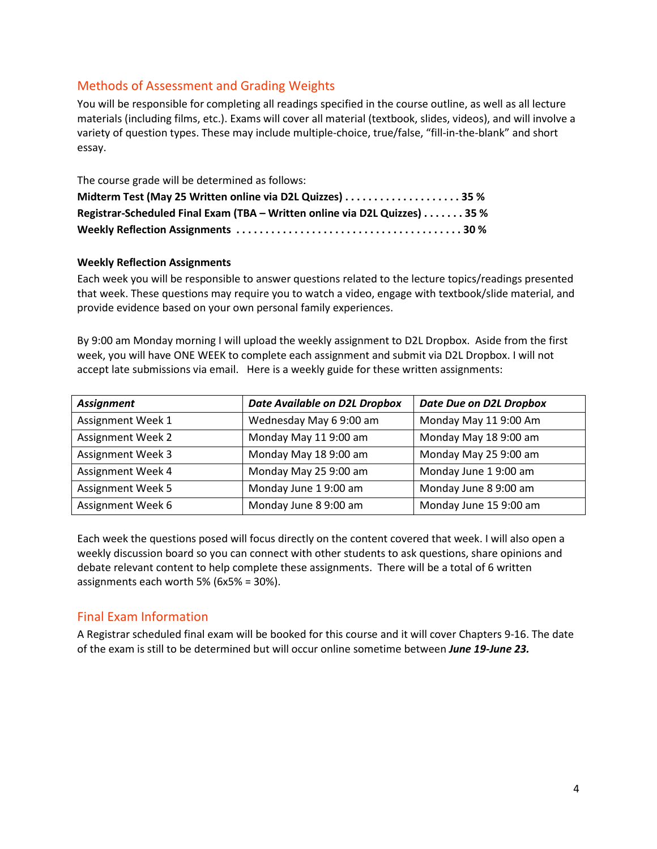## Methods of Assessment and Grading Weights

You will be responsible for completing all readings specified in the course outline, as well as all lecture materials (including films, etc.). Exams will cover all material (textbook, slides, videos), and will involve a variety of question types. These may include multiple-choice, true/false, "fill-in-the-blank" and short essay.

| The course grade will be determined as follows:                            |  |
|----------------------------------------------------------------------------|--|
| Midterm Test (May 25 Written online via D2L Quizzes)  35 %                 |  |
| Registrar-Scheduled Final Exam (TBA - Written online via D2L Quizzes) 35 % |  |
|                                                                            |  |

#### **Weekly Reflection Assignments**

Each week you will be responsible to answer questions related to the lecture topics/readings presented that week. These questions may require you to watch a video, engage with textbook/slide material, and provide evidence based on your own personal family experiences.

By 9:00 am Monday morning I will upload the weekly assignment to D2L Dropbox. Aside from the first week, you will have ONE WEEK to complete each assignment and submit via D2L Dropbox. I will not accept late submissions via email. Here is a weekly guide for these written assignments:

| <b>Assignment</b>        | Date Available on D2L Dropbox | <b>Date Due on D2L Dropbox</b> |
|--------------------------|-------------------------------|--------------------------------|
| Assignment Week 1        | Wednesday May 6 9:00 am       | Monday May 11 9:00 Am          |
| <b>Assignment Week 2</b> | Monday May 11 9:00 am         | Monday May 18 9:00 am          |
| <b>Assignment Week 3</b> | Monday May 18 9:00 am         | Monday May 25 9:00 am          |
| Assignment Week 4        | Monday May 25 9:00 am         | Monday June 19:00 am           |
| <b>Assignment Week 5</b> | Monday June 19:00 am          | Monday June 8 9:00 am          |
| Assignment Week 6        | Monday June 8 9:00 am         | Monday June 15 9:00 am         |

Each week the questions posed will focus directly on the content covered that week. I will also open a weekly discussion board so you can connect with other students to ask questions, share opinions and debate relevant content to help complete these assignments. There will be a total of 6 written assignments each worth 5% (6x5% = 30%).

## Final Exam Information

A Registrar scheduled final exam will be booked for this course and it will cover Chapters 9-16. The date of the exam is still to be determined but will occur online sometime between *June 19-June 23.*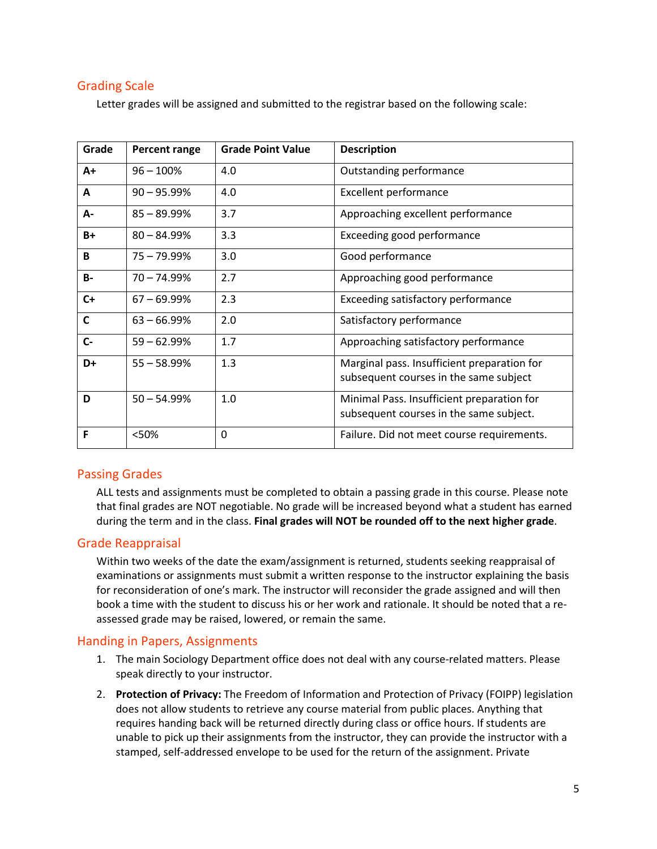## Grading Scale

Letter grades will be assigned and submitted to the registrar based on the following scale:

| Grade        | Percent range  | <b>Grade Point Value</b> | <b>Description</b>                                                                    |
|--------------|----------------|--------------------------|---------------------------------------------------------------------------------------|
| $A+$         | $96 - 100\%$   | 4.0                      | Outstanding performance                                                               |
| A            | $90 - 95.99%$  | 4.0                      | <b>Excellent performance</b>                                                          |
| A-           | $85 - 89.99%$  | 3.7                      | Approaching excellent performance                                                     |
| $B+$         | $80 - 84.99\%$ | 3.3                      | <b>Exceeding good performance</b>                                                     |
| B            | $75 - 79.99%$  | 3.0                      | Good performance                                                                      |
| <b>B-</b>    | $70 - 74.99%$  | 2.7                      | Approaching good performance                                                          |
| $C+$         | $67 - 69.99\%$ | 2.3                      | <b>Exceeding satisfactory performance</b>                                             |
| $\mathsf{C}$ | $63 - 66.99%$  | 2.0                      | Satisfactory performance                                                              |
| $C -$        | $59 - 62.99%$  | 1.7                      | Approaching satisfactory performance                                                  |
| D+           | $55 - 58.99%$  | 1.3                      | Marginal pass. Insufficient preparation for<br>subsequent courses in the same subject |
| D            | $50 - 54.99%$  | 1.0                      | Minimal Pass. Insufficient preparation for<br>subsequent courses in the same subject. |
| F            | <50%           | 0                        | Failure. Did not meet course requirements.                                            |

## Passing Grades

ALL tests and assignments must be completed to obtain a passing grade in this course. Please note that final grades are NOT negotiable. No grade will be increased beyond what a student has earned during the term and in the class. **Final grades will NOT be rounded off to the next higher grade**.

## Grade Reappraisal

Within two weeks of the date the exam/assignment is returned, students seeking reappraisal of examinations or assignments must submit a written response to the instructor explaining the basis for reconsideration of one's mark. The instructor will reconsider the grade assigned and will then book a time with the student to discuss his or her work and rationale. It should be noted that a reassessed grade may be raised, lowered, or remain the same.

#### Handing in Papers, Assignments

- 1. The main Sociology Department office does not deal with any course-related matters. Please speak directly to your instructor.
- 2. **Protection of Privacy:** The Freedom of Information and Protection of Privacy (FOIPP) legislation does not allow students to retrieve any course material from public places. Anything that requires handing back will be returned directly during class or office hours. If students are unable to pick up their assignments from the instructor, they can provide the instructor with a stamped, self-addressed envelope to be used for the return of the assignment. Private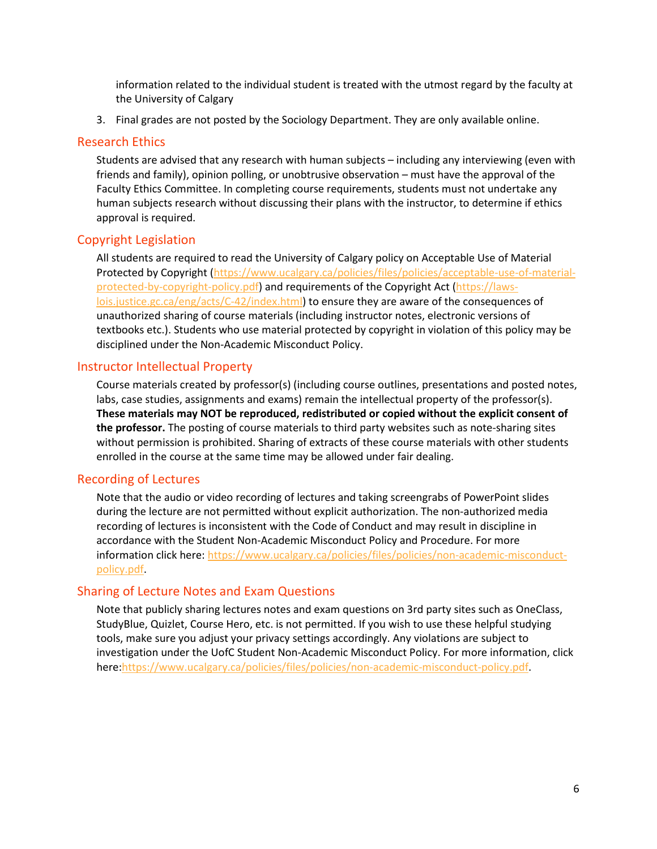information related to the individual student is treated with the utmost regard by the faculty at the University of Calgary

3. Final grades are not posted by the Sociology Department. They are only available online.

#### Research Ethics

Students are advised that any research with human subjects – including any interviewing (even with friends and family), opinion polling, or unobtrusive observation – must have the approval of the Faculty Ethics Committee. In completing course requirements, students must not undertake any human subjects research without discussing their plans with the instructor, to determine if ethics approval is required.

#### Copyright Legislation

All students are required to read the University of Calgary policy on Acceptable Use of Material Protected by Copyright [\(https://www.ucalgary.ca/policies/files/policies/acceptable-use-of-material](https://www.ucalgary.ca/policies/files/policies/acceptable-use-of-material-protected-by-copyright-policy.pdf)[protected-by-copyright-policy.pdf\)](https://www.ucalgary.ca/policies/files/policies/acceptable-use-of-material-protected-by-copyright-policy.pdf) and requirements of the Copyright Act [\(https://laws](https://laws-lois.justice.gc.ca/eng/acts/C-42/index.html)[lois.justice.gc.ca/eng/acts/C-42/index.html\)](https://laws-lois.justice.gc.ca/eng/acts/C-42/index.html) to ensure they are aware of the consequences of unauthorized sharing of course materials (including instructor notes, electronic versions of textbooks etc.). Students who use material protected by copyright in violation of this policy may be disciplined under the Non-Academic Misconduct Policy.

#### Instructor Intellectual Property

Course materials created by professor(s) (including course outlines, presentations and posted notes, labs, case studies, assignments and exams) remain the intellectual property of the professor(s). **These materials may NOT be reproduced, redistributed or copied without the explicit consent of the professor.** The posting of course materials to third party websites such as note-sharing sites without permission is prohibited. Sharing of extracts of these course materials with other students enrolled in the course at the same time may be allowed under fair dealing.

#### Recording of Lectures

Note that the audio or video recording of lectures and taking screengrabs of PowerPoint slides during the lecture are not permitted without explicit authorization. The non-authorized media recording of lectures is inconsistent with the Code of Conduct and may result in discipline in accordance with the Student Non-Academic Misconduct Policy and Procedure. For more information click here: [https://www.ucalgary.ca/policies/files/policies/non-academic-misconduct](https://www.ucalgary.ca/policies/files/policies/non-academic-misconduct-policy.pdf)[policy.pdf.](https://www.ucalgary.ca/policies/files/policies/non-academic-misconduct-policy.pdf)

#### Sharing of Lecture Notes and Exam Questions

Note that publicly sharing lectures notes and exam questions on 3rd party sites such as OneClass, StudyBlue, Quizlet, Course Hero, etc. is not permitted. If you wish to use these helpful studying tools, make sure you adjust your privacy settings accordingly. Any violations are subject to investigation under the UofC Student Non-Academic Misconduct Policy. For more information, click here[:https://www.ucalgary.ca/policies/files/policies/non-academic-misconduct-policy.pdf.](https://www.ucalgary.ca/policies/files/policies/non-academic-misconduct-policy.pdf)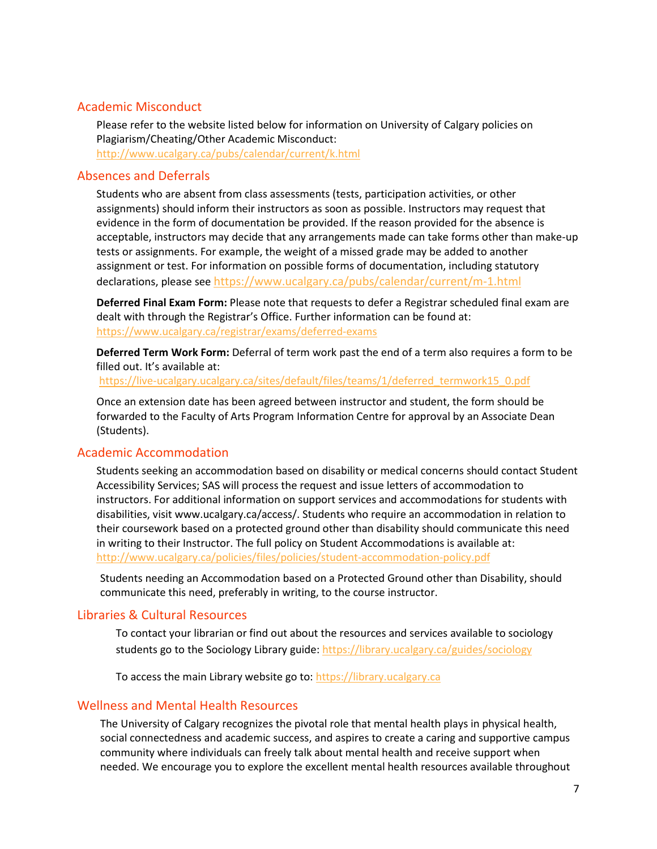## Academic Misconduct

Please refer to the website listed below for information on University of Calgary policies on Plagiarism/Cheating/Other Academic Misconduct: <http://www.ucalgary.ca/pubs/calendar/current/k.html>

#### Absences and Deferrals

Students who are absent from class assessments (tests, participation activities, or other assignments) should inform their instructors as soon as possible. Instructors may request that evidence in the form of documentation be provided. If the reason provided for the absence is acceptable, instructors may decide that any arrangements made can take forms other than make-up tests or assignments. For example, the weight of a missed grade may be added to another assignment or test. For information on possible forms of documentation, including statutory declarations, please see <https://www.ucalgary.ca/pubs/calendar/current/m-1.html>

**Deferred Final Exam Form:** Please note that requests to defer a Registrar scheduled final exam are dealt with through the Registrar's Office. Further information can be found at: <https://www.ucalgary.ca/registrar/exams/deferred-exams>

**Deferred Term Work Form:** Deferral of term work past the end of a term also requires a form to be filled out. It's available at:

[https://live-ucalgary.ucalgary.ca/sites/default/files/teams/1/deferred\\_termwork15\\_0.pdf](https://live-ucalgary.ucalgary.ca/sites/default/files/teams/1/deferred_termwork15_0.pdf) 

Once an extension date has been agreed between instructor and student, the form should be forwarded to the Faculty of Arts Program Information Centre for approval by an Associate Dean (Students).

#### Academic Accommodation

Students seeking an accommodation based on disability or medical concerns should contact Student Accessibility Services; SAS will process the request and issue letters of accommodation to instructors. For additional information on support services and accommodations for students with disabilities, visit www.ucalgary.ca/access/. Students who require an accommodation in relation to their coursework based on a protected ground other than disability should communicate this need in writing to their Instructor. The full policy on Student Accommodations is available at: <http://www.ucalgary.ca/policies/files/policies/student-accommodation-policy.pdf>

Students needing an Accommodation based on a Protected Ground other than Disability, should communicate this need, preferably in writing, to the course instructor.

#### Libraries & Cultural Resources

To contact your librarian or find out about the resources and services available to sociology students go to the Sociology Library guide[: https://library.ucalgary.ca/guides/sociology](https://library.ucalgary.ca/guides/sociology)

To access the main Library website go to: [https://library.ucalgary.ca](https://library.ucalgary.ca/)

#### Wellness and Mental Health Resources

The University of Calgary recognizes the pivotal role that mental health plays in physical health, social connectedness and academic success, and aspires to create a caring and supportive campus community where individuals can freely talk about mental health and receive support when needed. We encourage you to explore the excellent mental health resources available throughout